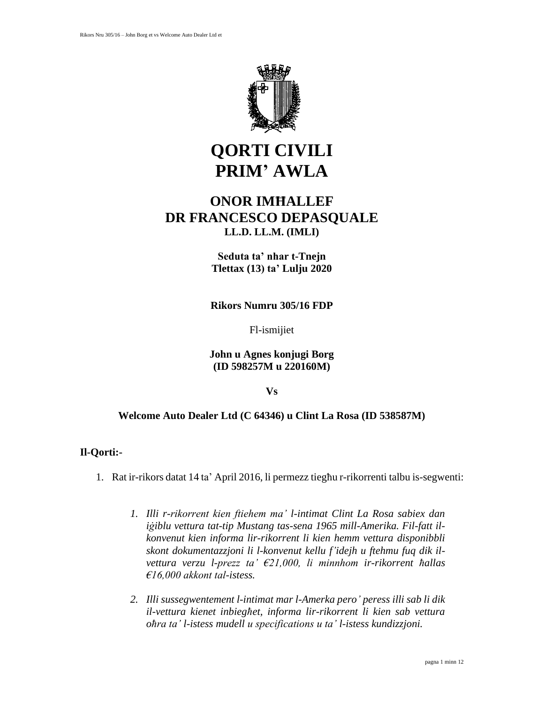

# **QORTI CIVILI PRIM' AWLA**

## **ONOR IMĦALLEF DR FRANCESCO DEPASQUALE LL.D. LL.M. (IMLI)**

**Seduta ta' nhar t-Tnejn Tlettax (13) ta' Lulju 2020**

**Rikors Numru 305/16 FDP**

Fl-ismijiet

**John u Agnes konjugi Borg (ID 598257M u 220160M)**

#### **Vs**

## **Welcome Auto Dealer Ltd (C 64346) u Clint La Rosa (ID 538587M)**

## **Il-Qorti:-**

- 1. Rat ir-rikors datat 14 ta' April 2016, li permezz tiegħu r-rikorrenti talbu is-segwenti:
	- *1. Illi r-rikorrent kien ftiehem ma' l-intimat Clint La Rosa sabiex dan iġiblu vettura tat-tip Mustang tas-sena 1965 mill-Amerika. Fil-fatt ilkonvenut kien informa lir-rikorrent li kien hemm vettura disponibbli skont dokumentazzjoni li l-konvenut kellu f'idejh u ftehmu fuq dik ilvettura verzu l-prezz ta' €21,000, li minnhom ir-rikorrent ħallas €16,000 akkont tal-istess.*
	- *2. Illi sussegwentement l-intimat mar l-Amerka pero' peress illi sab li dik il-vettura kienet inbiegħet, informa lir-rikorrent li kien sab vettura oħra ta' l-istess mudell u specifications u ta' l-istess kundizzjoni.*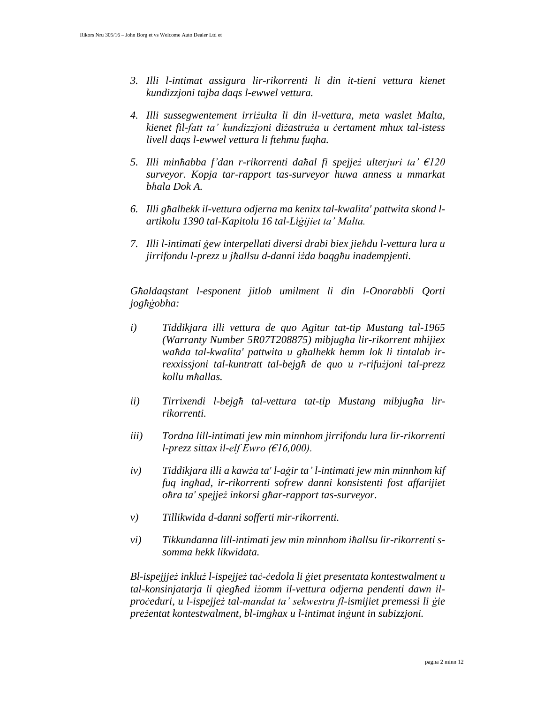- *3. Illi l-intimat assigura lir-rikorrenti li din it-tieni vettura kienet kundizzjoni tajba daqs l-ewwel vettura.*
- *4. Illi sussegwentement irriżulta li din il-vettura, meta waslet Malta, kienet fil-fatt ta' kundizzjoni diżastruża u ċertament mhux tal-istess livell daqs l-ewwel vettura li ftehmu fuqha.*
- *5. Illi minħabba f'dan r-rikorrenti daħal fi spejjeż ulterjuri ta' €120 surveyor. Kopja tar-rapport tas-surveyor huwa anness u mmarkat bħala Dok A.*
- *6. Illi għalhekk il-vettura odjerna ma kenitx tal-kwalita' pattwita skond lartikolu 1390 tal-Kapitolu 16 tal-Liġijiet ta' Malta.*
- *7. Illi l-intimati ġew interpellati diversi drabi biex jieħdu l-vettura lura u jirrifondu l-prezz u jħallsu d-danni iżda baqgħu inadempjenti.*

*Għaldaqstant l-esponent jitlob umilment li din l-Onorabbli Qorti jogħġobha:*

- *i) Tiddikjara illi vettura de quo Agitur tat-tip Mustang tal-1965 (Warranty Number 5R07T208875) mibjugħa lir-rikorrent mhijiex waħda tal-kwalita' pattwita u għalhekk hemm lok li tintalab irrexxissjoni tal-kuntratt tal-bejgħ de quo u r-rifużjoni tal-prezz kollu mħallas.*
- *ii) Tirrixendi l-bejgħ tal-vettura tat-tip Mustang mibjugħa lirrikorrenti.*
- *iii) Tordna lill-intimati jew min minnhom jirrifondu lura lir-rikorrenti l-prezz sittax il-elf Ewro (€16,000).*
- *iv) Tiddikjara illi a kawża ta' l-aġir ta' l-intimati jew min minnhom kif fuq ingħad, ir-rikorrenti sofrew danni konsistenti fost affarijiet oħra ta' spejjeż inkorsi għar-rapport tas-surveyor.*
- *v) Tillikwida d-danni sofferti mir-rikorrenti.*
- *vi) Tikkundanna lill-intimati jew min minnhom iħallsu lir-rikorrenti ssomma hekk likwidata.*

*Bl-ispejjjeż inkluż l-ispejjeż taċ-ċedola li ġiet presentata kontestwalment u tal-konsinjatarja li qiegħed iżomm il-vettura odjerna pendenti dawn ilproċeduri, u l-ispejjeż tal-mandat ta' sekwestru fl-ismijiet premessi li ġie preżentat kontestwalment, bl-imgħax u l-intimat inġunt in subizzjoni.*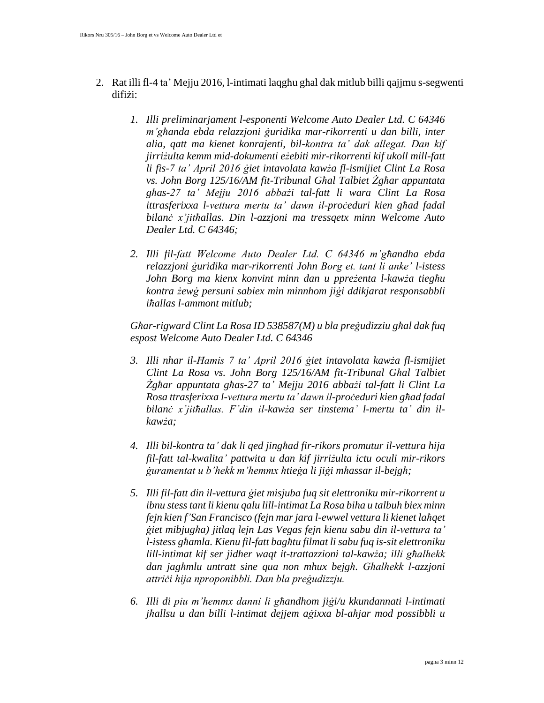- 2. Rat illi fl-4 ta' Mejju 2016, l-intimati laqgħu għal dak mitlub billi qajjmu s-segwenti difiżi:
	- *1. Illi preliminarjament l-esponenti Welcome Auto Dealer Ltd. C 64346 m'għanda ebda relazzjoni ġuridika mar-rikorrenti u dan billi, inter alia, qatt ma kienet konrajenti, bil-kontra ta' dak allegat. Dan kif jirriżulta kemm mid-dokumenti eżebiti mir-rikorrenti kif ukoll mill-fatt li fis-7 ta' April 2016 ġiet intavolata kawża fl-ismijiet Clint La Rosa vs. John Borg 125/16/AM fit-Tribunal Għal Talbiet Żgħar appuntata għas-27 ta' Mejju 2016 abbażi tal-fatt li wara Clint La Rosa ittrasferixxa l-vettura mertu ta' dawn il-proċeduri kien għad fadal bilanċ x'jitħallas. Din l-azzjoni ma tressqetx minn Welcome Auto Dealer Ltd. C 64346;*
	- *2. Illi fil-fatt Welcome Auto Dealer Ltd. C 64346 m'għandha ebda relazzjoni ġuridika mar-rikorrenti John Borg et. tant li anke' l-istess John Borg ma kienx konvint minn dan u ppreżenta l-kawża tiegħu kontra żewġ persuni sabiex min minnhom jiġi ddikjarat responsabbli iħallas l-ammont mitlub;*

*Għar-rigward Clint La Rosa ID 538587(M) u bla preġudizziu għal dak fuq espost Welcome Auto Dealer Ltd. C 64346*

- *3. Illi nhar il-Ħamis 7 ta' April 2016 ġiet intavolata kawża fl-ismijiet Clint La Rosa vs. John Borg 125/16/AM fit-Tribunal Għal Talbiet Żgħar appuntata għas-27 ta' Mejju 2016 abbażi tal-fatt li Clint La Rosa ttrasferixxa l-vettura mertu ta' dawn il-proċeduri kien għad fadal bilanċ x'jitħallas. F'din il-kawża ser tinstema' l-mertu ta' din ilkawża;*
- *4. Illi bil-kontra ta' dak li qed jingħad fir-rikors promutur il-vettura hija fil-fatt tal-kwalita' pattwita u dan kif jirriżulta ictu oculi mir-rikors ġuramentat u b'hekk m'hemmx ħtieġa li jiġi mħassar il-bejgħ;*
- *5. Illi fil-fatt din il-vettura ġiet misjuba fuq sit elettroniku mir-rikorrent u ibnu stess tant li kienu qalu lill-intimat La Rosa biha u talbuh biex minn fejn kien f'San Francisco (fejn mar jara l-ewwel vettura li kienet laħqet ġiet mibjugħa) jitlaq lejn Las Vegas fejn kienu sabu din il-vettura ta' l-istess għamla. Kienu fil-fatt bagħtu filmat li sabu fuq is-sit elettroniku lill-intimat kif ser jidher waqt it-trattazzioni tal-kawża; illi għalhekk dan jagħmlu untratt sine qua non mhux bejgħ. Għalhekk l-azzjoni attriċi hija nproponibbli. Dan bla preġudizzju.*
- *6. Illi di piu m'hemmx danni li għandhom jiġi/u kkundannati l-intimati jħallsu u dan billi l-intimat dejjem aġixxa bl-aħjar mod possibbli u*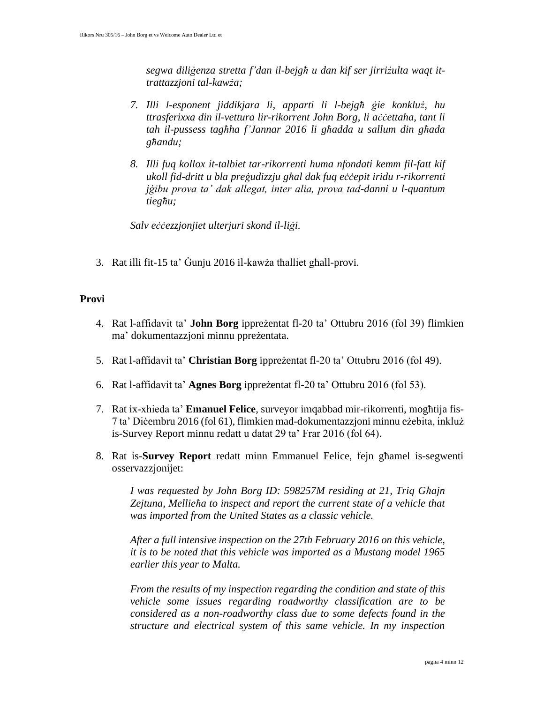*segwa diliġenza stretta f'dan il-bejgħ u dan kif ser jirriżulta waqt ittrattazzjoni tal-kawża;*

- *7. Illi l-esponent jiddikjara li, apparti li l-bejgħ ġie konkluż, hu ttrasferixxa din il-vettura lir-rikorrent John Borg, li aċċettaha, tant li tah il-pussess tagħha f'Jannar 2016 li għadda u sallum din għada għandu;*
- *8. Illi fuq kollox it-talbiet tar-rikorrenti huma nfondati kemm fil-fatt kif ukoll fid-dritt u bla preġudizzju għal dak fuq eċċepit iridu r-rikorrenti jġibu prova ta' dak allegat, inter alia, prova tad-danni u l-quantum tiegħu;*

*Salv eċċezzjonjiet ulterjuri skond il-liġi.*

3. Rat illi fit-15 ta' Ġunju 2016 il-kawża tħalliet għall-provi.

#### **Provi**

- 4. Rat l-affidavit ta' **John Borg** ippreżentat fl-20 ta' Ottubru 2016 (fol 39) flimkien ma' dokumentazzjoni minnu ppreżentata.
- 5. Rat l-affidavit ta' **Christian Borg** ippreżentat fl-20 ta' Ottubru 2016 (fol 49).
- 6. Rat l-affidavit ta' **Agnes Borg** ippreżentat fl-20 ta' Ottubru 2016 (fol 53).
- 7. Rat ix-xhieda ta' **Emanuel Felice**, surveyor imqabbad mir-rikorrenti, mogħtija fis-7 ta' Diċembru 2016 (fol 61), flimkien mad-dokumentazzjoni minnu eżebita, inkluż is-Survey Report minnu redatt u datat 29 ta' Frar 2016 (fol 64).
- 8. Rat is-**Survey Report** redatt minn Emmanuel Felice, fejn għamel is-segwenti osservazzjonijet:

*I was requested by John Borg ID: 598257M residing at 21, Triq Għajn Zejtuna, Mellieħa to inspect and report the current state of a vehicle that was imported from the United States as a classic vehicle.*

*After a full intensive inspection on the 27th February 2016 on this vehicle, it is to be noted that this vehicle was imported as a Mustang model 1965 earlier this year to Malta.*

*From the results of my inspection regarding the condition and state of this vehicle some issues regarding roadworthy classification are to be considered as a non-roadworthy class due to some defects found in the structure and electrical system of this same vehicle. In my inspection*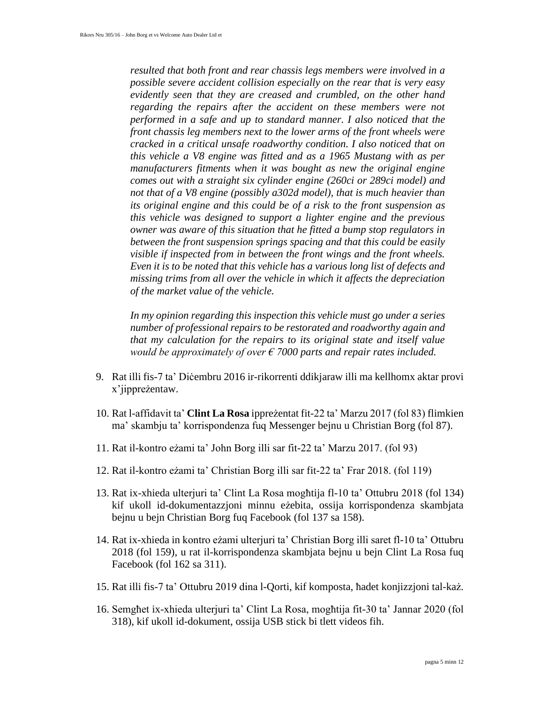*resulted that both front and rear chassis legs members were involved in a possible severe accident collision especially on the rear that is very easy evidently seen that they are creased and crumbled, on the other hand regarding the repairs after the accident on these members were not performed in a safe and up to standard manner. I also noticed that the front chassis leg members next to the lower arms of the front wheels were cracked in a critical unsafe roadworthy condition. I also noticed that on this vehicle a V8 engine was fitted and as a 1965 Mustang with as per manufacturers fitments when it was bought as new the original engine comes out with a straight six cylinder engine (260ci or 289ci model) and not that of a V8 engine (possibly a302d model), that is much heavier than its original engine and this could be of a risk to the front suspension as this vehicle was designed to support a lighter engine and the previous owner was aware of this situation that he fitted a bump stop regulators in between the front suspension springs spacing and that this could be easily visible if inspected from in between the front wings and the front wheels. Even it is to be noted that this vehicle has a various long list of defects and missing trims from all over the vehicle in which it affects the depreciation of the market value of the vehicle.*

*In my opinion regarding this inspection this vehicle must go under a series number of professional repairs to be restorated and roadworthy again and that my calculation for the repairs to its original state and itself value would be approximately of over € 7000 parts and repair rates included.*

- 9. Rat illi fis-7 ta' Diċembru 2016 ir-rikorrenti ddikjaraw illi ma kellhomx aktar provi x'jippreżentaw.
- 10. Rat l-affidavit ta' **Clint La Rosa** ippreżentat fit-22 ta' Marzu 2017 (fol 83) flimkien ma' skambju ta' korrispondenza fuq Messenger bejnu u Christian Borg (fol 87).
- 11. Rat il-kontro eżami ta' John Borg illi sar fit-22 ta' Marzu 2017. (fol 93)
- 12. Rat il-kontro eżami ta' Christian Borg illi sar fit-22 ta' Frar 2018. (fol 119)
- 13. Rat ix-xhieda ulterjuri ta' Clint La Rosa mogħtija fl-10 ta' Ottubru 2018 (fol 134) kif ukoll id-dokumentazzjoni minnu eżebita, ossija korrispondenza skambjata bejnu u bejn Christian Borg fuq Facebook (fol 137 sa 158).
- 14. Rat ix-xhieda in kontro eżami ulterjuri ta' Christian Borg illi saret fl-10 ta' Ottubru 2018 (fol 159), u rat il-korrispondenza skambjata bejnu u bejn Clint La Rosa fuq Facebook (fol 162 sa 311).
- 15. Rat illi fis-7 ta' Ottubru 2019 dina l-Qorti, kif komposta, ħadet konjizzjoni tal-każ.
- 16. Semgħet ix-xhieda ulterjuri ta' Clint La Rosa, mogħtija fit-30 ta' Jannar 2020 (fol 318), kif ukoll id-dokument, ossija USB stick bi tlett videos fih.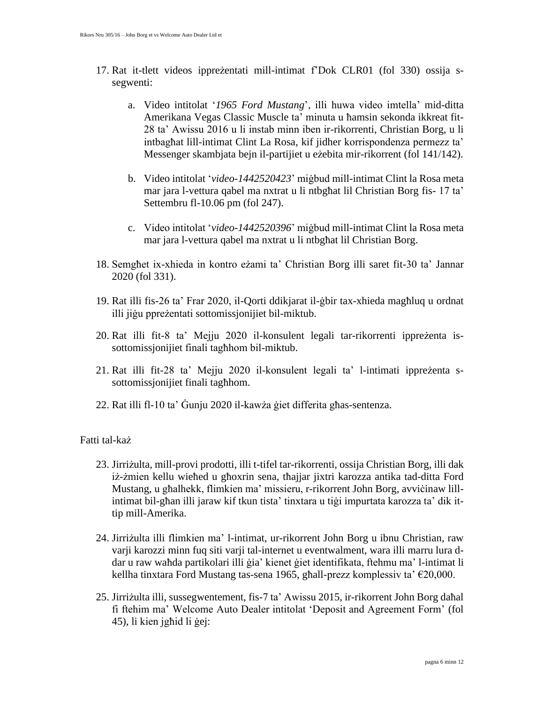- 17. Rat it-tlett videos ippreżentati mill-intimat f'Dok CLR01 (fol 330) ossija ssegwenti:
	- a. Video intitolat '*1965 Ford Mustang*', illi huwa video imtella' mid-ditta Amerikana Vegas Classic Muscle ta' minuta u ħamsin sekonda ikkreat fit-28 ta' Awissu 2016 u li instab minn iben ir-rikorrenti, Christian Borg, u li intbagħat lill-intimat Clint La Rosa, kif jidher korrispondenza permezz ta' Messenger skambjata bejn il-partijiet u eżebita mir-rikorrent (fol 141/142).
	- b. Video intitolat '*video-1442520423*' miġbud mill-intimat Clint la Rosa meta mar jara l-vettura qabel ma nxtrat u li ntbgħat lil Christian Borg fis- 17 ta' Settembru fl-10.06 pm (fol 247).
	- c. Video intitolat '*video-1442520396*' miġbud mill-intimat Clint la Rosa meta mar jara l-vettura qabel ma nxtrat u li ntbgħat lil Christian Borg.
- 18. Semgħet ix-xhieda in kontro eżami ta' Christian Borg illi saret fit-30 ta' Jannar 2020 (fol 331).
- 19. Rat illi fis-26 ta' Frar 2020, il-Qorti ddikjarat il-ġbir tax-xhieda magħluq u ordnat illi jiġu ppreżentati sottomissjonijiet bil-miktub.
- 20. Rat illi fit-8 ta' Mejju 2020 il-konsulent legali tar-rikorrenti ippreżenta issottomissjonijiet finali tagħhom bil-miktub.
- 21. Rat illi fit-28 ta' Mejju 2020 il-konsulent legali ta' l-intimati ippreżenta ssottomissjonijiet finali tagħhom.
- 22. Rat illi fl-10 ta' Ġunju 2020 il-kawża ġiet differita għas-sentenza.

#### Fatti tal-każ

- 23. Jirriżulta, mill-provi prodotti, illi t-tifel tar-rikorrenti, ossija Christian Borg, illi dak iż-żmien kellu wieħed u għoxrin sena, tħajjar jixtri karozza antika tad-ditta Ford Mustang, u għalhekk, flimkien ma' missieru, r-rikorrent John Borg, avvičinaw lillintimat bil-għan illi jaraw kif tkun tista' tinxtara u tiġi impurtata karozza ta' dik ittip mill-Amerika.
- 24. Jirriżulta illi flimkien ma' l-intimat, ur-rikorrent John Borg u ibnu Christian, raw varji karozzi minn fuq siti varji tal-internet u eventwalment, wara illi marru lura ddar u raw waħda partikolari illi ġia' kienet ġiet identifikata, ftehmu ma' l-intimat li kellha tinxtara Ford Mustang tas-sena 1965, għall-prezz komplessiv ta' €20,000.
- 25. Jirriżulta illi, sussegwentement, fis-7 ta' Awissu 2015, ir-rikorrent John Borg daħal fi ftehim ma' Welcome Auto Dealer intitolat 'Deposit and Agreement Form' (fol 45), li kien jgħid li ġej: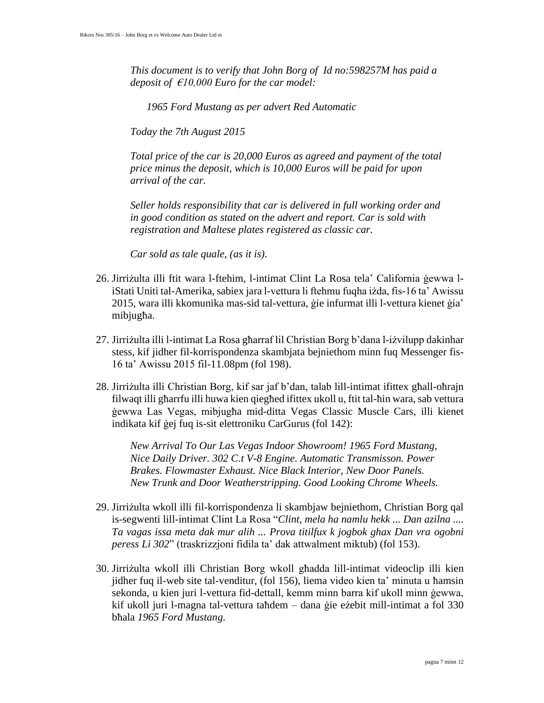*This document is to verify that John Borg of Id no:598257M has paid a deposit of €10,000 Euro for the car model:*

*1965 Ford Mustang as per advert Red Automatic*

*Today the 7th August 2015*

*Total price of the car is 20,000 Euros as agreed and payment of the total price minus the deposit, which is 10,000 Euros will be paid for upon arrival of the car.*

*Seller holds responsibility that car is delivered in full working order and in good condition as stated on the advert and report. Car is sold with registration and Maltese plates registered as classic car.*

*Car sold as tale quale, (as it is).*

- 26. Jirriżulta illi ftit wara l-ftehim, l-intimat Clint La Rosa tela' California ġewwa liStati Uniti tal-Amerika, sabiex jara l-vettura li ftehmu fuqha iżda, fis-16 ta' Awissu 2015, wara illi kkomunika mas-sid tal-vettura, ġie infurmat illi l-vettura kienet ġia' mibjugħa.
- 27. Jirriżulta illi l-intimat La Rosa għarraf lil Christian Borg b'dana l-iżvilupp dakinhar stess, kif jidher fil-korrispondenza skambjata bejniethom minn fuq Messenger fis-16 ta' Awissu 2015 fil-11.08pm (fol 198).
- 28. Jirriżulta illi Christian Borg, kif sar jaf b'dan, talab lill-intimat ifittex għall-oħrajn filwaqt illi għarrfu illi huwa kien qiegħed ifittex ukoll u, ftit tal-ħin wara, sab vettura ġewwa Las Vegas, mibjugħa mid-ditta Vegas Classic Muscle Cars, illi kienet indikata kif ġej fuq is-sit elettroniku CarGurus (fol 142):

*New Arrival To Our Las Vegas Indoor Showroom! 1965 Ford Mustang, Nice Daily Driver. 302 C.t V-8 Engine. Automatic Transmisson. Power Brakes. Flowmaster Exhaust. Nice Black Interior, New Door Panels. New Trunk and Door Weatherstripping. Good Looking Chrome Wheels.*

- 29. Jirriżulta wkoll illi fil-korrispondenza li skambjaw bejniethom, Christian Borg qal is-segwenti lill-intimat Clint La Rosa "*Clint, mela ha namlu hekk ... Dan azilna .... Ta vagas issa meta dak mur alih ... Prova titilfux k jogbok ghax Dan vra ogobni peress Li 302*" (traskrizzjoni fidila ta' dak attwalment miktub) (fol 153).
- 30. Jirriżulta wkoll illi Christian Borg wkoll għadda lill-intimat videoclip illi kien jidher fuq il-web site tal-venditur, (fol 156), liema video kien ta' minuta u ħamsin sekonda, u kien juri l-vettura fid-dettall, kemm minn barra kif ukoll minn ġewwa, kif ukoll juri l-magna tal-vettura taħdem – dana ġie eżebit mill-intimat a fol 330 bħala *1965 Ford Mustang.*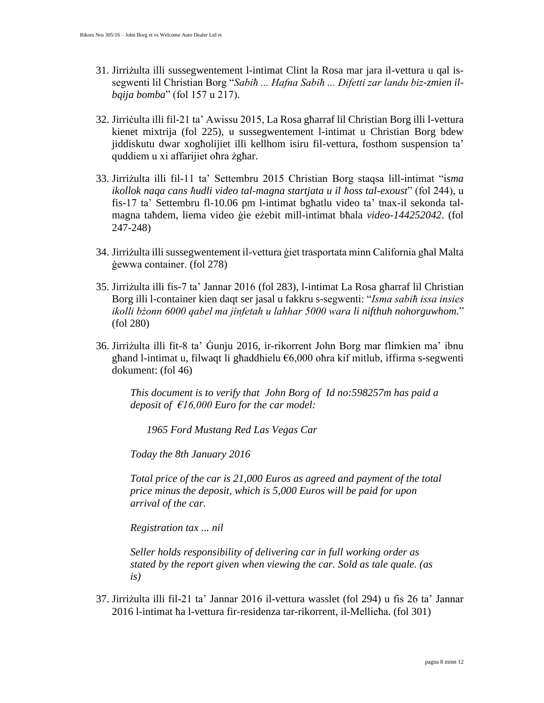- 31. Jirriżulta illi sussegwentement l-intimat Clint la Rosa mar jara il-vettura u qal issegwenti lil Christian Borg "*Sabiħ ... Hafna Sabiħ ... Difetti zar landu biz-zmien ilbqija bomba*" (fol 157 u 217).
- 32. Jirriċulta illi fil-21 ta' Awissu 2015, La Rosa għarraf lil Christian Borg illi l-vettura kienet mixtrija (fol 225), u sussegwentement l-intimat u Christian Borg bdew jiddiskutu dwar xogħolijiet illi kellhom isiru fil-vettura, fosthom suspension ta' quddiem u xi affarijiet oħra żgħar.
- 33. Jirriżulta illi fil-11 ta' Settembru 2015 Christian Borg staqsa lill-intimat "i*sma ikollok naqa cans ħudli video tal-magna startjata u il ħoss tal-exoust*" (fol 244), u fis-17 ta' Settembru fl-10.06 pm l-intimat bgħatlu video ta' tnax-il sekonda talmagna taħdem, liema video ġie eżebit mill-intimat bħala *video-144252042*. (fol 247-248)
- 34. Jirriżulta illi sussegwentement il-vettura ġiet trasportata minn California għal Malta ġewwa container. (fol 278)
- 35. Jirriżulta illi fis-7 ta' Jannar 2016 (fol 283), l-intimat La Rosa għarraf lil Christian Borg illi l-container kien daqt ser jasal u fakkru s-segwenti: "*Isma sabiħ issa insies ikolli bżonn 6000 qabel ma jinfetah u lahhar 5000 wara li nifthuh nohorguwhom.*" (fol 280)
- 36. Jirriżulta illi fit-8 ta' Ġunju 2016, ir-rikorrent John Borg mar flimkien ma' ibnu għand l-intimat u, filwaqt li għaddhielu €6,000 oħra kif mitlub, iffirma s-segwenti dokument: (fol 46)

*This document is to verify that John Borg of Id no:598257m has paid a deposit of €16,000 Euro for the car model:*

*1965 Ford Mustang Red Las Vegas Car*

*Today the 8th January 2016*

*Total price of the car is 21,000 Euros as agreed and payment of the total price minus the deposit, which is 5,000 Euros will be paid for upon arrival of the car.*

*Registration tax ... nil*

*Seller holds responsibility of delivering car in full working order as stated by the report given when viewing the car. Sold as tale quale. (as is)*

37. Jirriżulta illi fil-21 ta' Jannar 2016 il-vettura wasslet (fol 294) u fis 26 ta' Jannar 2016 l-intimat ħa l-vettura fir-residenza tar-rikorrent, il-Mellieħa. (fol 301)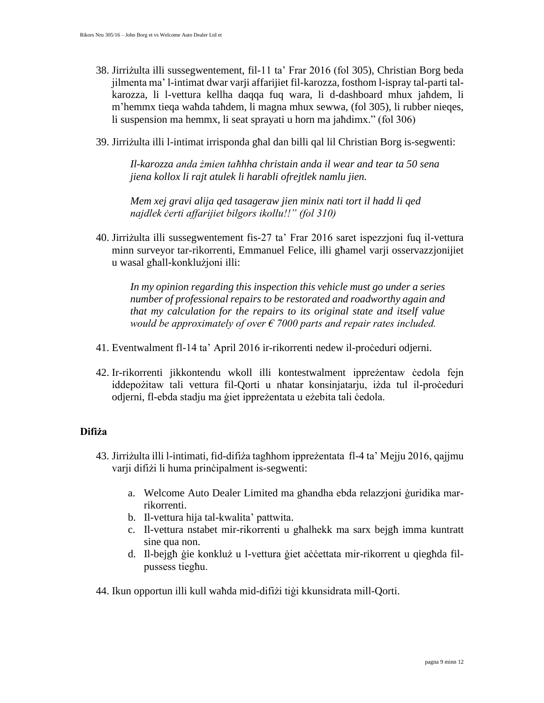- 38. Jirriżulta illi sussegwentement, fil-11 ta' Frar 2016 (fol 305), Christian Borg beda jilmenta ma' l-intimat dwar varji affarijiet fil-karozza, fosthom l-ispray tal-parti talkarozza, li l-vettura kellha daqqa fuq wara, li d-dashboard mhux jaħdem, li m'hemmx tieqa waħda taħdem, li magna mhux sewwa, (fol 305), li rubber nieqes, li suspension ma hemmx, li seat sprayati u horn ma jaħdimx." (fol 306)
- 39. Jirriżulta illi l-intimat irrisponda għal dan billi qal lil Christian Borg is-segwenti:

*Il-karozza anda żmien taħhha christain anda il wear and tear ta 50 sena jiena kollox li rajt atulek li harabli ofrejtlek namlu jien.*

*Mem xej gravi alija qed tasageraw jien minix nati tort il hadd li qed najdlek ċerti affarijiet bilgors ikollu!!" (fol 310)*

40. Jirriżulta illi sussegwentement fis-27 ta' Frar 2016 saret ispezzjoni fuq il-vettura minn surveyor tar-rikorrenti, Emmanuel Felice, illi għamel varji osservazzjonijiet u wasal għall-konklużjoni illi:

*In my opinion regarding this inspection this vehicle must go under a series number of professional repairs to be restorated and roadworthy again and that my calculation for the repairs to its original state and itself value would be approximately of over € 7000 parts and repair rates included.*

- 41. Eventwalment fl-14 ta' April 2016 ir-rikorrenti nedew il-proċeduri odjerni.
- 42. Ir-rikorrenti jikkontendu wkoll illi kontestwalment ippreżentaw ċedola fejn iddepożitaw tali vettura fil-Qorti u nħatar konsinjatarju, iżda tul il-proċeduri odjerni, fl-ebda stadju ma ġiet ippreżentata u eżebita tali ċedola.

## **Difiża**

- 43. Jirriżulta illi l-intimati, fid-difiża tagħhom ippreżentata fl-4 ta' Mejju 2016, qajjmu varji difiżi li huma prinċipalment is-segwenti:
	- a. Welcome Auto Dealer Limited ma għandha ebda relazzjoni ġuridika marrikorrenti.
	- b. Il-vettura hija tal-kwalita' pattwita.
	- c. Il-vettura nstabet mir-rikorrenti u għalhekk ma sarx bejgħ imma kuntratt sine qua non.
	- d. Il-bejgħ ġie konkluż u l-vettura ġiet aċċettata mir-rikorrent u qiegħda filpussess tiegħu.
- 44. Ikun opportun illi kull waħda mid-difiżi tiġi kkunsidrata mill-Qorti.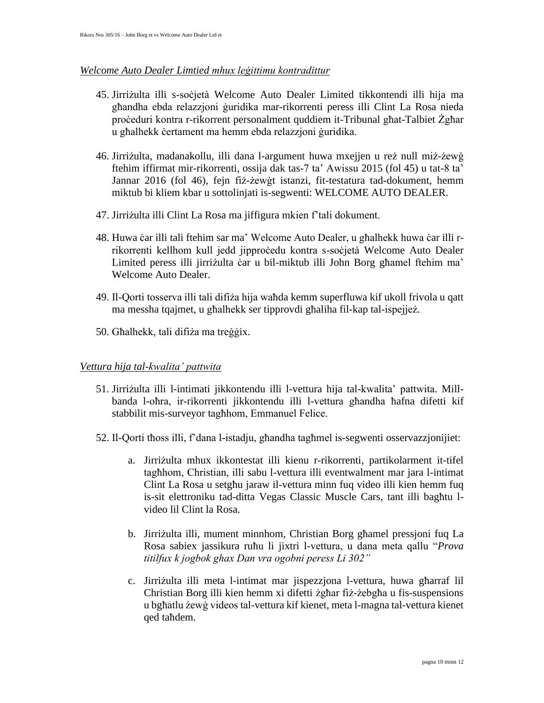#### *Welcome Auto Dealer Limtied mhux leġittimu kontradittur*

- 45. Jirriżulta illi s-soċjetà Welcome Auto Dealer Limited tikkontendi illi hija ma għandha ebda relazzjoni ġuridika mar-rikorrenti peress illi Clint La Rosa nieda proċeduri kontra r-rikorrent personalment quddiem it-Tribunal għat-Talbiet Żgħar u għalhekk ċertament ma hemm ebda relazzjoni ġuridika.
- 46. Jirriżulta, madanakollu, illi dana l-argument huwa mxejjen u reż null miż-żewġ ftehim iffirmat mir-rikorrenti, ossija dak tas-7 ta' Awissu 2015 (fol 45) u tat-8 ta' Jannar 2016 (fol 46), fejn fiż-żewġt istanzi, fit-testatura tad-dokument, hemm miktub bi kliem kbar u sottolinjati is-segwenti: WELCOME AUTO DEALER.
- 47. Jirriżulta illi Clint La Rosa ma jiffigura mkien f'tali dokument.
- 48. Huwa ċar illi tali ftehim sar ma' Welcome Auto Dealer, u għalhekk huwa ċar illi rrikorrenti kellhom kull jedd jipproċedu kontra s-soċjetà Welcome Auto Dealer Limited peress illi jirriżulta ċar u bil-miktub illi John Borg għamel ftehim ma' Welcome Auto Dealer.
- 49. Il-Qorti tosserva illi tali difiża hija waħda kemm superfluwa kif ukoll frivola u qatt ma messha tqajmet, u għalhekk ser tipprovdi għaliha fil-kap tal-ispejjeż.
- 50. Għalhekk, tali difiża ma treġġix.

## *Vettura hija tal-kwalita' pattwita*

- 51. Jirriżulta illi l-intimati jikkontendu illi l-vettura hija tal-kwalita' pattwita. Millbanda l-oħra, ir-rikorrenti jikkontendu illi l-vettura għandha ħafna difetti kif stabbilit mis-surveyor tagħhom, Emmanuel Felice.
- 52. Il-Qorti tħoss illi, f'dana l-istadju, għandha tagħmel is-segwenti osservazzjonijiet:
	- a. Jirriżulta mhux ikkontestat illi kienu r-rikorrenti, partikolarment it-tifel tagħhom, Christian, illi sabu l-vettura illi eventwalment mar jara l-intimat Clint La Rosa u setgħu jaraw il-vettura minn fuq video illi kien hemm fuq is-sit elettroniku tad-ditta Vegas Classic Muscle Cars, tant illi bagħtu lvideo lil Clint la Rosa.
	- b. Jirriżulta illi, mument minnhom, Christian Borg għamel pressjoni fuq La Rosa sabiex jassikura ruħu li jixtri l-vettura, u dana meta qallu "*Prova titilfux k jogbok ghax Dan vra ogobni peress Li 302"*
	- c. Jirriżulta illi meta l-intimat mar jispezzjona l-vettura, huwa għarraf lil Christian Borg illi kien hemm xi difetti żgħar fiż-żebgħa u fis-suspensions u bgħatlu żewġ videos tal-vettura kif kienet, meta l-magna tal-vettura kienet qed taħdem.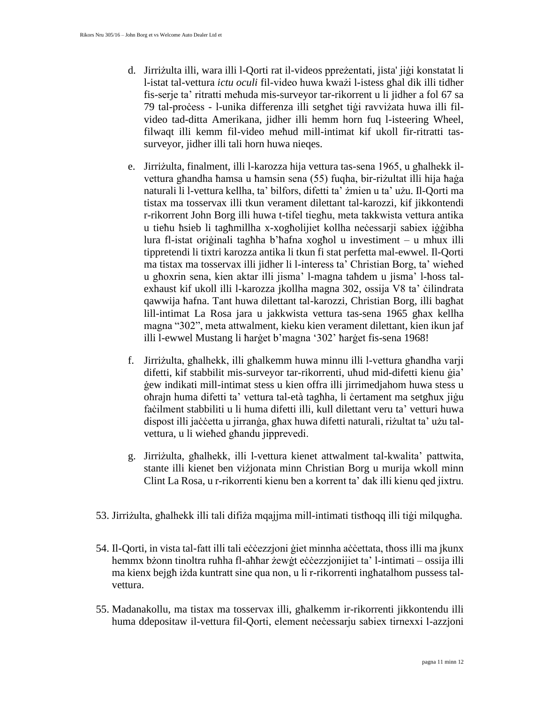- d. Jirriżulta illi, wara illi l-Qorti rat il-videos ppreżentati, jista' jiġi konstatat li l-istat tal-vettura *ictu oculi* fil-video huwa kważi l-istess għal dik illi tidher fis-serje ta' ritratti meħuda mis-surveyor tar-rikorrent u li jidher a fol 67 sa 79 tal-proċess - l-unika differenza illi setgħet tiġi ravviżata huwa illi filvideo tad-ditta Amerikana, jidher illi hemm horn fuq l-isteering Wheel, filwaqt illi kemm fil-video meħud mill-intimat kif ukoll fir-ritratti tassurveyor, jidher illi tali horn huwa nieqes.
- e. Jirriżulta, finalment, illi l-karozza hija vettura tas-sena 1965, u għalhekk ilvettura għandha ħamsa u ħamsin sena (55) fuqha, bir-riżultat illi hija ħaġa naturali li l-vettura kellha, ta' bilfors, difetti ta' żmien u ta' użu. Il-Qorti ma tistax ma tosservax illi tkun verament dilettant tal-karozzi, kif jikkontendi r-rikorrent John Borg illi huwa t-tifel tiegħu, meta takkwista vettura antika u tieħu ħsieb li tagħmillha x-xogħolijiet kollha neċessarji sabiex iġġibha lura fl-istat oriġinali tagħha b'ħafna xogħol u investiment – u mhux illi tippretendi li tixtri karozza antika li tkun fi stat perfetta mal-ewwel. Il-Qorti ma tistax ma tosservax illi jidher li l-interess ta' Christian Borg, ta' wieħed u għoxrin sena, kien aktar illi jisma' l-magna taħdem u jisma' l-ħoss talexhaust kif ukoll illi l-karozza jkollha magna 302, ossija V8 ta' ċilindrata qawwija ħafna. Tant huwa dilettant tal-karozzi, Christian Borg, illi bagħat lill-intimat La Rosa jara u jakkwista vettura tas-sena 1965 għax kellha magna "302", meta attwalment, kieku kien verament dilettant, kien ikun jaf illi l-ewwel Mustang li ħarġet b'magna '302' ħarġet fis-sena 1968!
- f. Jirriżulta, għalhekk, illi għalkemm huwa minnu illi l-vettura għandha varji difetti, kif stabbilit mis-surveyor tar-rikorrenti, uħud mid-difetti kienu ġia' ġew indikati mill-intimat stess u kien offra illi jirrimedjahom huwa stess u oħrajn huma difetti ta' vettura tal-età tagħha, li ċertament ma setgħux jiġu faċilment stabbiliti u li huma difetti illi, kull dilettant veru ta' vetturi huwa dispost illi jaċċetta u jirranġa, għax huwa difetti naturali, riżultat ta' użu talvettura, u li wieħed għandu jipprevedi.
- g. Jirriżulta, għalhekk, illi l-vettura kienet attwalment tal-kwalita' pattwita, stante illi kienet ben viżjonata minn Christian Borg u murija wkoll minn Clint La Rosa, u r-rikorrenti kienu ben a korrent ta' dak illi kienu qed jixtru.
- 53. Jirriżulta, għalhekk illi tali difiża mqajjma mill-intimati tistħoqq illi tiġi milqugħa.
- 54. Il-Qorti, in vista tal-fatt illi tali eċċezzjoni ġiet minnha aċċettata, tħoss illi ma jkunx hemmx bżonn tinoltra ruħha fl-aħħar żewġt eċċezzjonijiet ta' l-intimati – ossija illi ma kienx bejgħ iżda kuntratt sine qua non, u li r-rikorrenti ingħatalhom pussess talvettura.
- 55. Madanakollu, ma tistax ma tosservax illi, għalkemm ir-rikorrenti jikkontendu illi huma ddepositaw il-vettura fil-Qorti, element neċessarju sabiex tirnexxi l-azzjoni